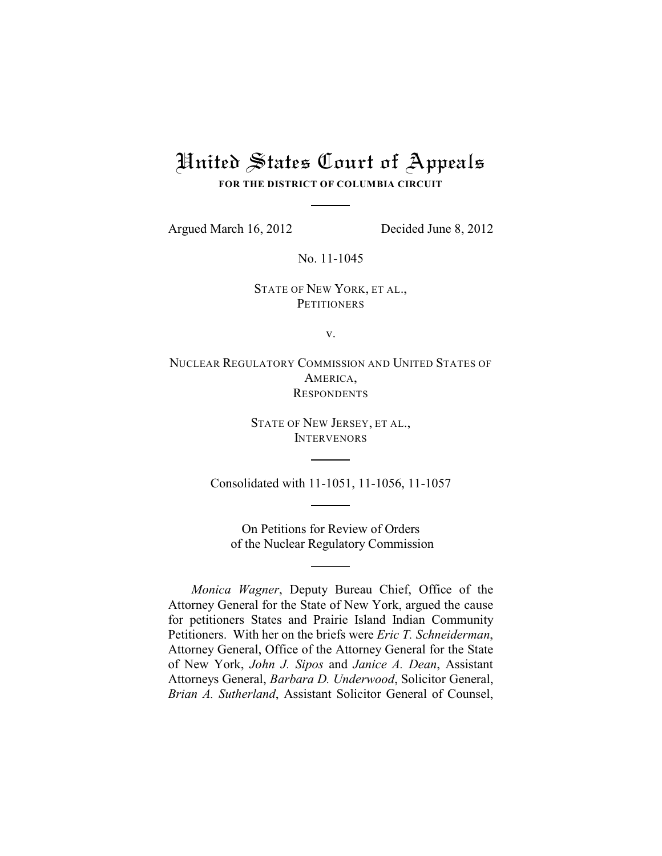# United States Court of Appeals **FOR THE DISTRICT OF COLUMBIA CIRCUIT**

Argued March 16, 2012 Decided June 8, 2012

No. 11-1045

STATE OF NEW YORK, ET AL., **PETITIONERS** 

v.

NUCLEAR REGULATORY COMMISSION AND UNITED STATES OF AMERICA, **RESPONDENTS** 

> STATE OF NEW JERSEY, ET AL., **INTERVENORS**

Consolidated with 11-1051, 11-1056, 11-1057

On Petitions for Review of Orders of the Nuclear Regulatory Commission

*Monica Wagner*, Deputy Bureau Chief, Office of the Attorney General for the State of New York, argued the cause for petitioners States and Prairie Island Indian Community Petitioners. With her on the briefs were *Eric T. Schneiderman*, Attorney General, Office of the Attorney General for the State of New York, *John J. Sipos* and *Janice A. Dean*, Assistant Attorneys General, *Barbara D. Underwood*, Solicitor General, *Brian A. Sutherland*, Assistant Solicitor General of Counsel,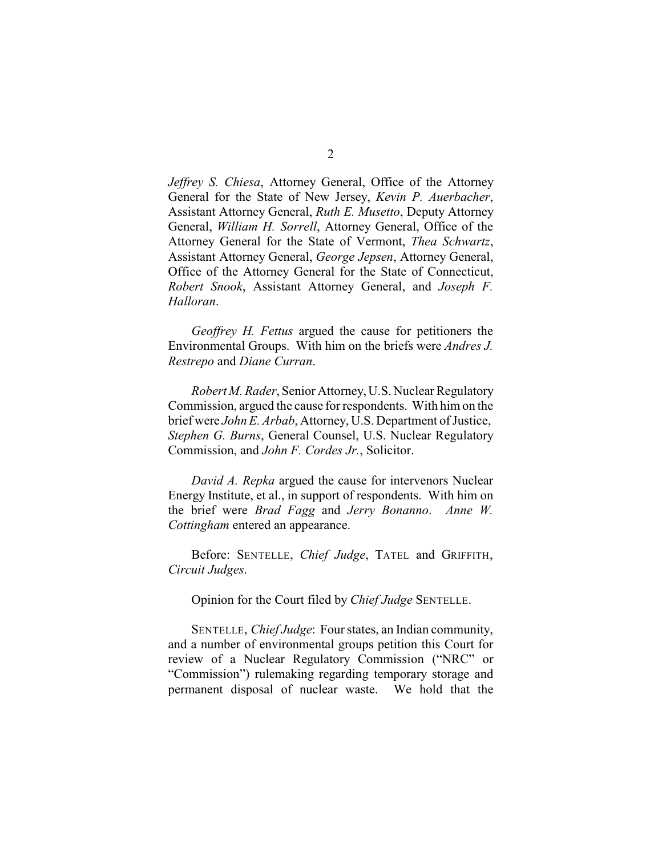*Jeffrey S. Chiesa*, Attorney General, Office of the Attorney General for the State of New Jersey, *Kevin P. Auerbacher*, Assistant Attorney General, *Ruth E. Musetto*, Deputy Attorney General, *William H. Sorrell*, Attorney General, Office of the Attorney General for the State of Vermont, *Thea Schwartz*, Assistant Attorney General, *George Jepsen*, Attorney General, Office of the Attorney General for the State of Connecticut, *Robert Snook*, Assistant Attorney General, and *Joseph F. Halloran*.

*Geoffrey H. Fettus* argued the cause for petitioners the Environmental Groups. With him on the briefs were *Andres J. Restrepo* and *Diane Curran*.

*Robert M. Rader*, Senior Attorney, U.S. Nuclear Regulatory Commission, argued the cause for respondents. With him on the brief were *John E. Arbab*, Attorney, U.S. Department of Justice, *Stephen G. Burns*, General Counsel, U.S. Nuclear Regulatory Commission, and *John F. Cordes Jr.*, Solicitor.

*David A. Repka* argued the cause for intervenors Nuclear Energy Institute, et al., in support of respondents. With him on the brief were *Brad Fagg* and *Jerry Bonanno*. *Anne W. Cottingham* entered an appearance.

Before: SENTELLE, *Chief Judge*, TATEL and GRIFFITH, *Circuit Judges*.

Opinion for the Court filed by *Chief Judge* SENTELLE.

SENTELLE, *Chief Judge*: Four states, an Indian community, and a number of environmental groups petition this Court for review of a Nuclear Regulatory Commission ("NRC" or "Commission") rulemaking regarding temporary storage and permanent disposal of nuclear waste. We hold that the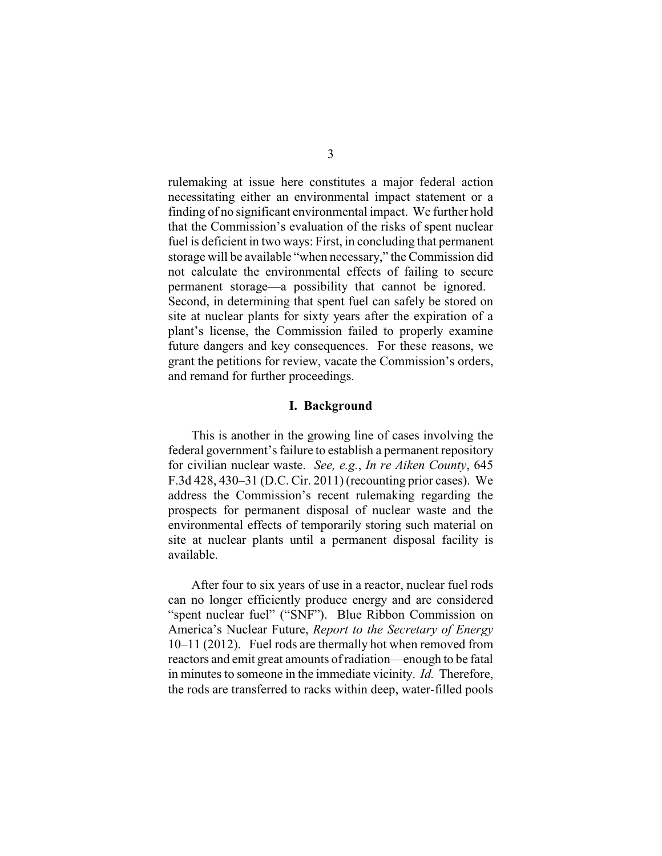rulemaking at issue here constitutes a major federal action necessitating either an environmental impact statement or a finding of no significant environmental impact. We further hold that the Commission's evaluation of the risks of spent nuclear fuel is deficient in two ways: First, in concluding that permanent storage will be available "when necessary," the Commission did not calculate the environmental effects of failing to secure permanent storage—a possibility that cannot be ignored. Second, in determining that spent fuel can safely be stored on site at nuclear plants for sixty years after the expiration of a plant's license, the Commission failed to properly examine future dangers and key consequences. For these reasons, we grant the petitions for review, vacate the Commission's orders, and remand for further proceedings.

# **I. Background**

This is another in the growing line of cases involving the federal government's failure to establish a permanent repository for civilian nuclear waste. *See, e.g.*, *In re Aiken County*, 645 F.3d 428, 430–31 (D.C. Cir. 2011) (recounting prior cases). We address the Commission's recent rulemaking regarding the prospects for permanent disposal of nuclear waste and the environmental effects of temporarily storing such material on site at nuclear plants until a permanent disposal facility is available.

After four to six years of use in a reactor, nuclear fuel rods can no longer efficiently produce energy and are considered "spent nuclear fuel" ("SNF"). Blue Ribbon Commission on America's Nuclear Future, *Report to the Secretary of Energy* 10–11 (2012). Fuel rods are thermally hot when removed from reactors and emit great amounts of radiation—enough to be fatal in minutes to someone in the immediate vicinity. *Id.* Therefore, the rods are transferred to racks within deep, water-filled pools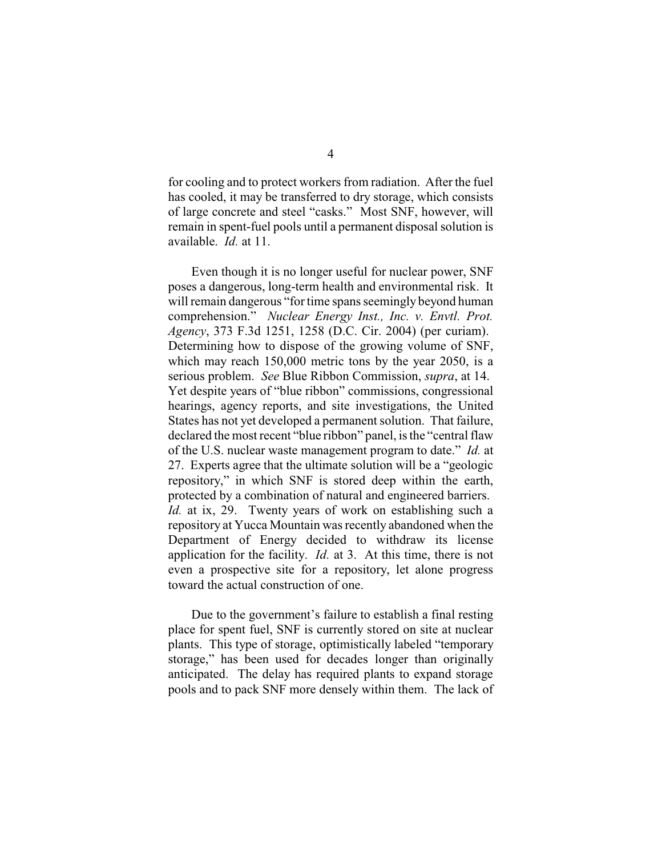for cooling and to protect workers from radiation. After the fuel has cooled, it may be transferred to dry storage, which consists of large concrete and steel "casks." Most SNF, however, will remain in spent-fuel pools until a permanent disposal solution is available. *Id.* at 11.

Even though it is no longer useful for nuclear power, SNF poses a dangerous, long-term health and environmental risk. It will remain dangerous "for time spans seemingly beyond human comprehension." *Nuclear Energy Inst., Inc. v. Envtl. Prot. Agency*, 373 F.3d 1251, 1258 (D.C. Cir. 2004) (per curiam). Determining how to dispose of the growing volume of SNF, which may reach 150,000 metric tons by the year 2050, is a serious problem. *See* Blue Ribbon Commission, *supra*, at 14. Yet despite years of "blue ribbon" commissions, congressional hearings, agency reports, and site investigations, the United States has not yet developed a permanent solution. That failure, declared the most recent "blue ribbon" panel, is the "central flaw of the U.S. nuclear waste management program to date." *Id.* at 27. Experts agree that the ultimate solution will be a "geologic repository," in which SNF is stored deep within the earth, protected by a combination of natural and engineered barriers. *Id.* at ix, 29. Twenty years of work on establishing such a repository at Yucca Mountain was recently abandoned when the Department of Energy decided to withdraw its license application for the facility. *Id.* at 3. At this time, there is not even a prospective site for a repository, let alone progress toward the actual construction of one.

Due to the government's failure to establish a final resting place for spent fuel, SNF is currently stored on site at nuclear plants. This type of storage, optimistically labeled "temporary storage," has been used for decades longer than originally anticipated. The delay has required plants to expand storage pools and to pack SNF more densely within them. The lack of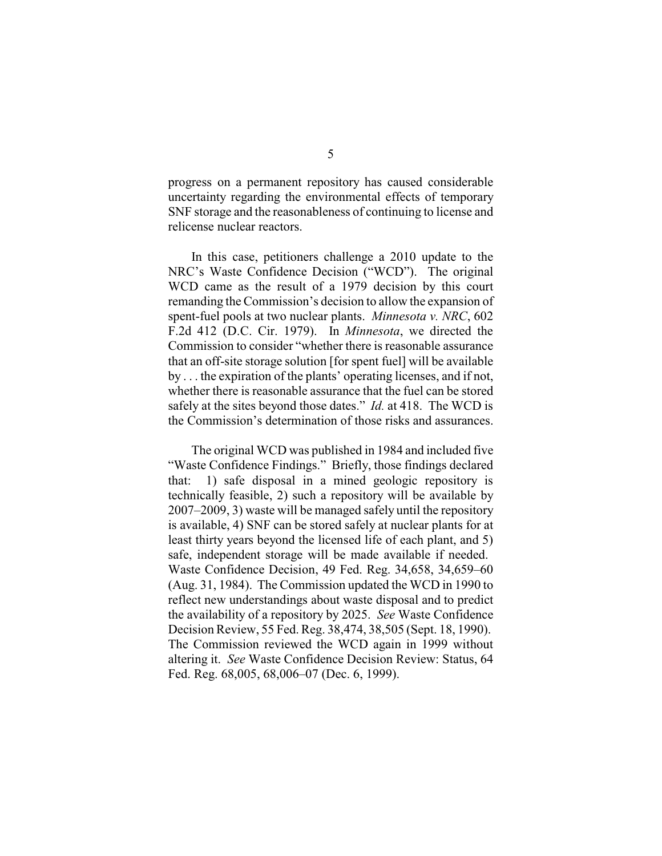progress on a permanent repository has caused considerable uncertainty regarding the environmental effects of temporary SNF storage and the reasonableness of continuing to license and relicense nuclear reactors.

In this case, petitioners challenge a 2010 update to the NRC's Waste Confidence Decision ("WCD"). The original WCD came as the result of a 1979 decision by this court remanding the Commission's decision to allow the expansion of spent-fuel pools at two nuclear plants. *Minnesota v. NRC*, 602 F.2d 412 (D.C. Cir. 1979). In *Minnesota*, we directed the Commission to consider "whether there is reasonable assurance that an off-site storage solution [for spent fuel] will be available by . . . the expiration of the plants' operating licenses, and if not, whether there is reasonable assurance that the fuel can be stored safely at the sites beyond those dates." *Id.* at 418. The WCD is the Commission's determination of those risks and assurances.

The original WCD was published in 1984 and included five "Waste Confidence Findings." Briefly, those findings declared that: 1) safe disposal in a mined geologic repository is technically feasible, 2) such a repository will be available by 2007–2009, 3) waste will be managed safely until the repository is available, 4) SNF can be stored safely at nuclear plants for at least thirty years beyond the licensed life of each plant, and 5) safe, independent storage will be made available if needed. Waste Confidence Decision, 49 Fed. Reg. 34,658, 34,659–60 (Aug. 31, 1984). The Commission updated the WCD in 1990 to reflect new understandings about waste disposal and to predict the availability of a repository by 2025. *See* Waste Confidence Decision Review, 55 Fed. Reg. 38,474, 38,505 (Sept. 18, 1990). The Commission reviewed the WCD again in 1999 without altering it. *See* Waste Confidence Decision Review: Status, 64 Fed. Reg. 68,005, 68,006–07 (Dec. 6, 1999).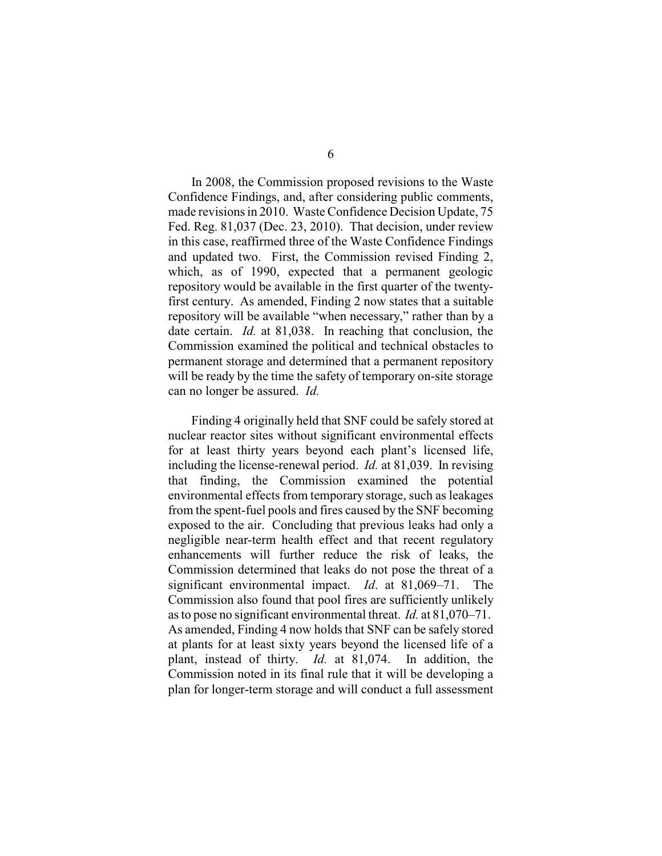In 2008, the Commission proposed revisions to the Waste Confidence Findings, and, after considering public comments, made revisions in 2010. Waste Confidence Decision Update, 75 Fed. Reg. 81,037 (Dec. 23, 2010). That decision, under review in this case, reaffirmed three of the Waste Confidence Findings and updated two. First, the Commission revised Finding 2, which, as of 1990, expected that a permanent geologic repository would be available in the first quarter of the twentyfirst century. As amended, Finding 2 now states that a suitable repository will be available "when necessary," rather than by a date certain. *Id.* at 81,038. In reaching that conclusion, the Commission examined the political and technical obstacles to permanent storage and determined that a permanent repository will be ready by the time the safety of temporary on-site storage can no longer be assured. *Id.*

Finding 4 originally held that SNF could be safely stored at nuclear reactor sites without significant environmental effects for at least thirty years beyond each plant's licensed life, including the license-renewal period. *Id.* at 81,039. In revising that finding, the Commission examined the potential environmental effects from temporary storage, such as leakages from the spent-fuel pools and fires caused by the SNF becoming exposed to the air. Concluding that previous leaks had only a negligible near-term health effect and that recent regulatory enhancements will further reduce the risk of leaks, the Commission determined that leaks do not pose the threat of a significant environmental impact. *Id*. at 81,069–71. The Commission also found that pool fires are sufficiently unlikely as to pose no significant environmental threat. *Id.* at 81,070–71. As amended, Finding 4 now holds that SNF can be safely stored at plants for at least sixty years beyond the licensed life of a plant, instead of thirty. *Id.* at 81,074. In addition, the Commission noted in its final rule that it will be developing a plan for longer-term storage and will conduct a full assessment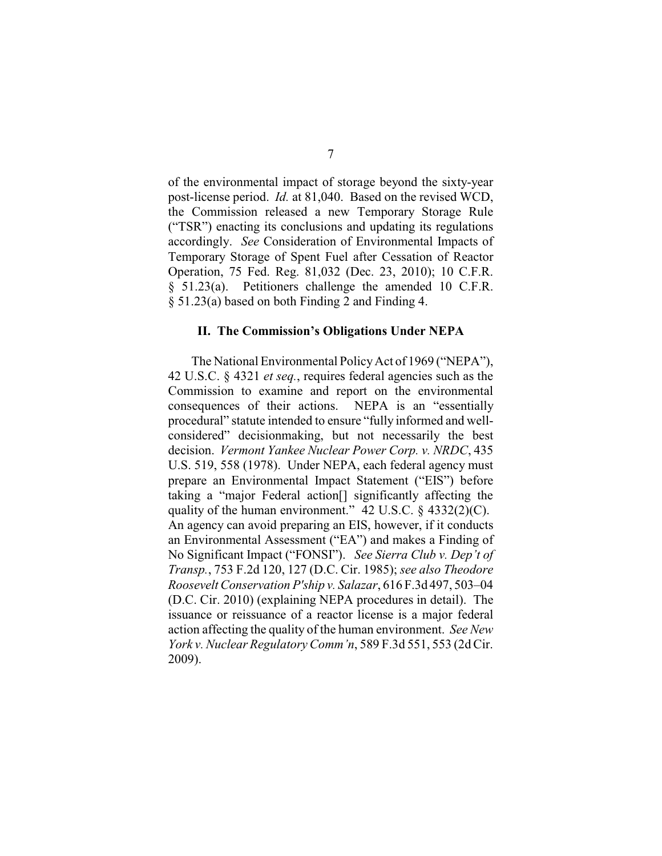of the environmental impact of storage beyond the sixty-year post-license period. *Id.* at 81,040. Based on the revised WCD, the Commission released a new Temporary Storage Rule ("TSR") enacting its conclusions and updating its regulations accordingly. *See* Consideration of Environmental Impacts of Temporary Storage of Spent Fuel after Cessation of Reactor Operation, 75 Fed. Reg. 81,032 (Dec. 23, 2010); 10 C.F.R. § 51.23(a). Petitioners challenge the amended 10 C.F.R. § 51.23(a) based on both Finding 2 and Finding 4.

#### **II. The Commission's Obligations Under NEPA**

The National Environmental PolicyAct of 1969 ("NEPA"), 42 U.S.C. § 4321 *et seq.*, requires federal agencies such as the Commission to examine and report on the environmental consequences of their actions. NEPA is an "essentially procedural" statute intended to ensure "fully informed and wellconsidered" decisionmaking, but not necessarily the best decision. *Vermont Yankee Nuclear Power Corp. v. NRDC*, 435 U.S. 519, 558 (1978). Under NEPA, each federal agency must prepare an Environmental Impact Statement ("EIS") before taking a "major Federal action[] significantly affecting the quality of the human environment."  $42 \text{ U.S.C. }$  §  $4332(2)(\text{C}).$ An agency can avoid preparing an EIS, however, if it conducts an Environmental Assessment ("EA") and makes a Finding of No Significant Impact ("FONSI"). *See Sierra Club v. Dep't of Transp.*, 753 F.2d 120, 127 (D.C. Cir. 1985); *see also Theodore Roosevelt Conservation P'ship v. Salazar*, 616 F.3d 497, 503–04 (D.C. Cir. 2010) (explaining NEPA procedures in detail). The issuance or reissuance of a reactor license is a major federal action affecting the quality of the human environment. *See New York v. Nuclear Regulatory Comm'n*, 589 F.3d 551, 553 (2d Cir. 2009).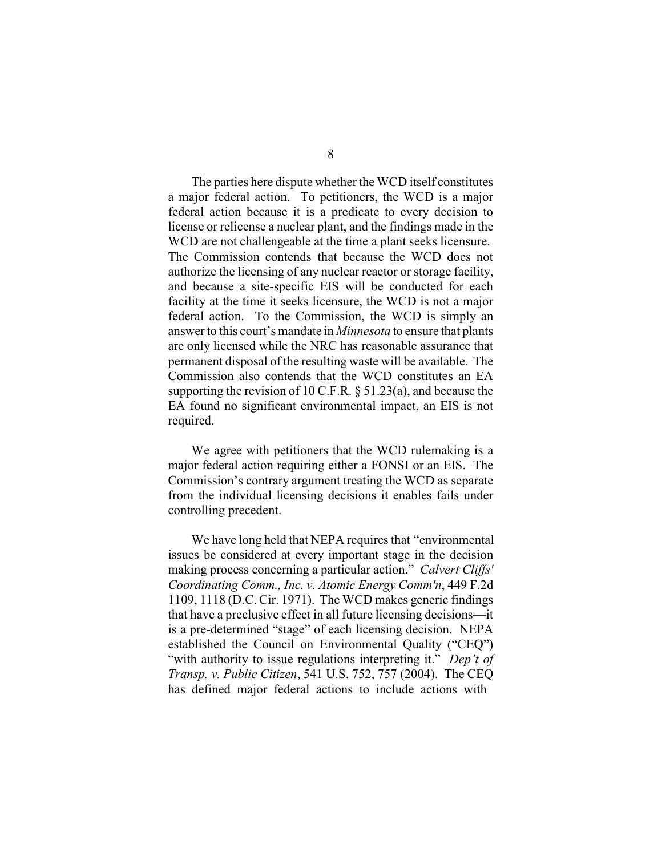The parties here dispute whether the WCD itself constitutes a major federal action. To petitioners, the WCD is a major federal action because it is a predicate to every decision to license or relicense a nuclear plant, and the findings made in the WCD are not challengeable at the time a plant seeks licensure. The Commission contends that because the WCD does not authorize the licensing of any nuclear reactor or storage facility, and because a site-specific EIS will be conducted for each facility at the time it seeks licensure, the WCD is not a major federal action. To the Commission, the WCD is simply an answer to this court's mandate in *Minnesota* to ensure that plants are only licensed while the NRC has reasonable assurance that permanent disposal of the resulting waste will be available. The Commission also contends that the WCD constitutes an EA supporting the revision of 10 C.F.R. § 51.23(a), and because the EA found no significant environmental impact, an EIS is not required.

We agree with petitioners that the WCD rulemaking is a major federal action requiring either a FONSI or an EIS. The Commission's contrary argument treating the WCD as separate from the individual licensing decisions it enables fails under controlling precedent.

We have long held that NEPA requires that "environmental issues be considered at every important stage in the decision making process concerning a particular action." *Calvert Cliffs' Coordinating Comm., Inc. v. Atomic Energy Comm'n*, 449 F.2d 1109, 1118 (D.C. Cir. 1971). The WCD makes generic findings that have a preclusive effect in all future licensing decisions—it is a pre-determined "stage" of each licensing decision. NEPA established the Council on Environmental Quality ("CEQ") "with authority to issue regulations interpreting it." *Dep't of Transp. v. Public Citizen*, 541 U.S. 752, 757 (2004). The CEQ has defined major federal actions to include actions with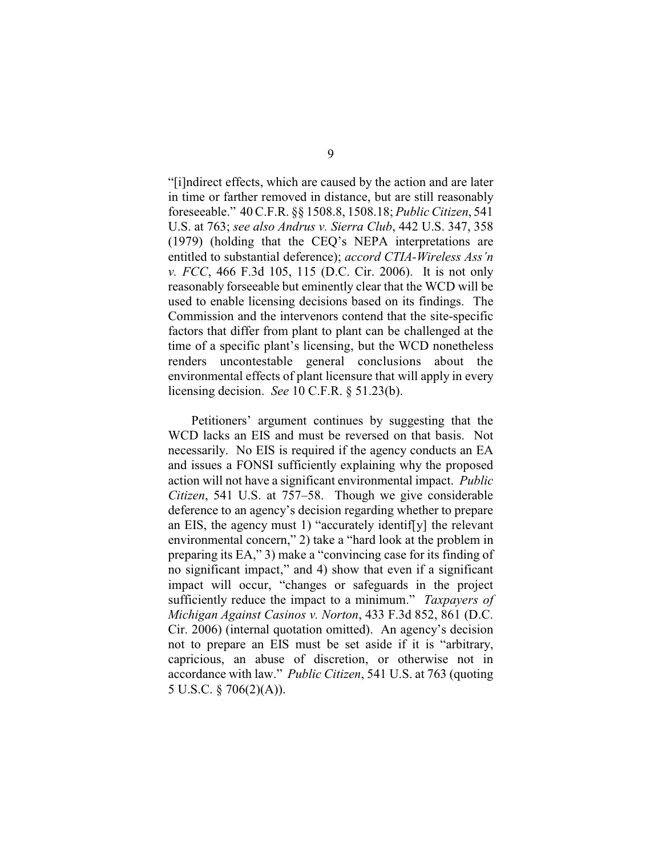"[i]ndirect effects, which are caused by the action and are later in time or farther removed in distance, but are still reasonably foreseeable." 40 C.F.R. §§ 1508.8, 1508.18; *Public Citizen*, 541 U.S. at 763; *see also Andrus v. Sierra Club*, 442 U.S. 347, 358 (1979) (holding that the CEQ's NEPA interpretations are entitled to substantial deference); *accord CTIA-Wireless Ass'n v. FCC*, 466 F.3d 105, 115 (D.C. Cir. 2006). It is not only reasonably forseeable but eminently clear that the WCD will be used to enable licensing decisions based on its findings. The Commission and the intervenors contend that the site-specific factors that differ from plant to plant can be challenged at the time of a specific plant's licensing, but the WCD nonetheless renders uncontestable general conclusions about the environmental effects of plant licensure that will apply in every licensing decision. *See* 10 C.F.R. § 51.23(b).

Petitioners' argument continues by suggesting that the WCD lacks an EIS and must be reversed on that basis. Not necessarily. No EIS is required if the agency conducts an EA and issues a FONSI sufficiently explaining why the proposed action will not have a significant environmental impact. *Public Citizen*, 541 U.S. at 757–58. Though we give considerable deference to an agency's decision regarding whether to prepare an EIS, the agency must 1) "accurately identif[y] the relevant environmental concern," 2) take a "hard look at the problem in preparing its EA," 3) make a "convincing case for its finding of no significant impact," and 4) show that even if a significant impact will occur, "changes or safeguards in the project sufficiently reduce the impact to a minimum." *Taxpayers of Michigan Against Casinos v. Norton*, 433 F.3d 852, 861 (D.C. Cir. 2006) (internal quotation omitted). An agency's decision not to prepare an EIS must be set aside if it is "arbitrary, capricious, an abuse of discretion, or otherwise not in accordance with law." *Public Citizen*, 541 U.S. at 763 (quoting 5 U.S.C. § 706(2)(A)).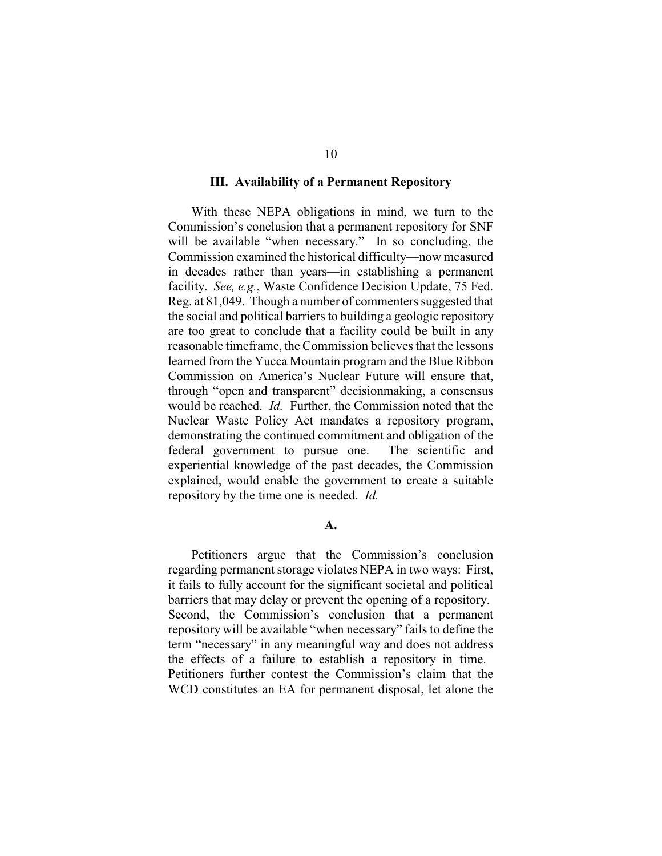#### **III. Availability of a Permanent Repository**

With these NEPA obligations in mind, we turn to the Commission's conclusion that a permanent repository for SNF will be available "when necessary." In so concluding, the Commission examined the historical difficulty—now measured in decades rather than years—in establishing a permanent facility. *See, e.g.*, Waste Confidence Decision Update, 75 Fed. Reg. at 81,049. Though a number of commenters suggested that the social and political barriers to building a geologic repository are too great to conclude that a facility could be built in any reasonable timeframe, the Commission believes that the lessons learned from the Yucca Mountain program and the Blue Ribbon Commission on America's Nuclear Future will ensure that, through "open and transparent" decisionmaking, a consensus would be reached. *Id.* Further, the Commission noted that the Nuclear Waste Policy Act mandates a repository program, demonstrating the continued commitment and obligation of the federal government to pursue one. The scientific and experiential knowledge of the past decades, the Commission explained, would enable the government to create a suitable repository by the time one is needed. *Id.* 

#### **A.**

Petitioners argue that the Commission's conclusion regarding permanent storage violates NEPA in two ways: First, it fails to fully account for the significant societal and political barriers that may delay or prevent the opening of a repository. Second, the Commission's conclusion that a permanent repository will be available "when necessary" fails to define the term "necessary" in any meaningful way and does not address the effects of a failure to establish a repository in time. Petitioners further contest the Commission's claim that the WCD constitutes an EA for permanent disposal, let alone the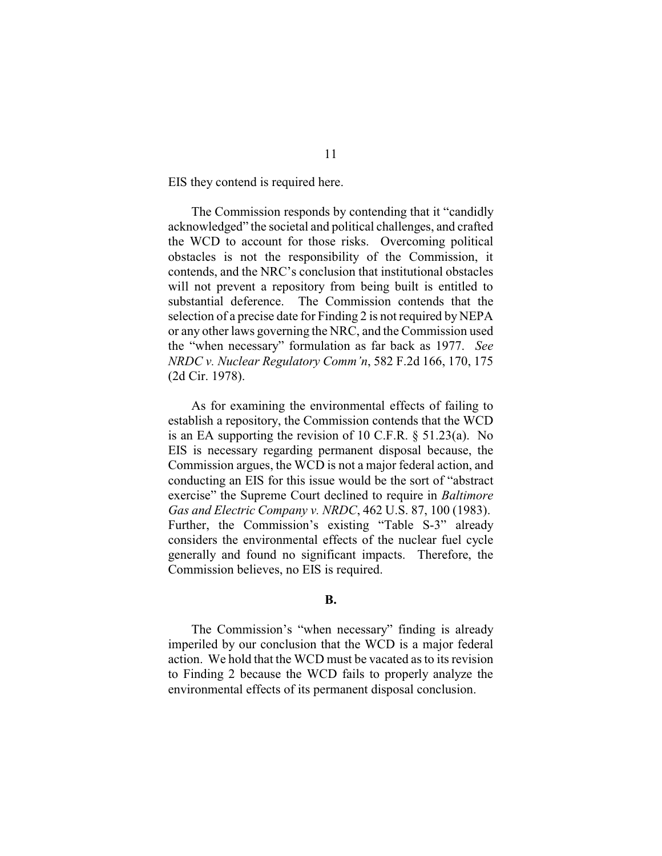EIS they contend is required here.

The Commission responds by contending that it "candidly acknowledged" the societal and political challenges, and crafted the WCD to account for those risks. Overcoming political obstacles is not the responsibility of the Commission, it contends, and the NRC's conclusion that institutional obstacles will not prevent a repository from being built is entitled to substantial deference. The Commission contends that the selection of a precise date for Finding 2 is not required by NEPA or any other laws governing the NRC, and the Commission used the "when necessary" formulation as far back as 1977. *See NRDC v. Nuclear Regulatory Comm'n*, 582 F.2d 166, 170, 175 (2d Cir. 1978).

As for examining the environmental effects of failing to establish a repository, the Commission contends that the WCD is an EA supporting the revision of 10 C.F.R. § 51.23(a). No EIS is necessary regarding permanent disposal because, the Commission argues, the WCD is not a major federal action, and conducting an EIS for this issue would be the sort of "abstract exercise" the Supreme Court declined to require in *Baltimore Gas and Electric Company v. NRDC*, 462 U.S. 87, 100 (1983). Further, the Commission's existing "Table S-3" already considers the environmental effects of the nuclear fuel cycle generally and found no significant impacts. Therefore, the Commission believes, no EIS is required.

## **B.**

The Commission's "when necessary" finding is already imperiled by our conclusion that the WCD is a major federal action. We hold that the WCD must be vacated as to its revision to Finding 2 because the WCD fails to properly analyze the environmental effects of its permanent disposal conclusion.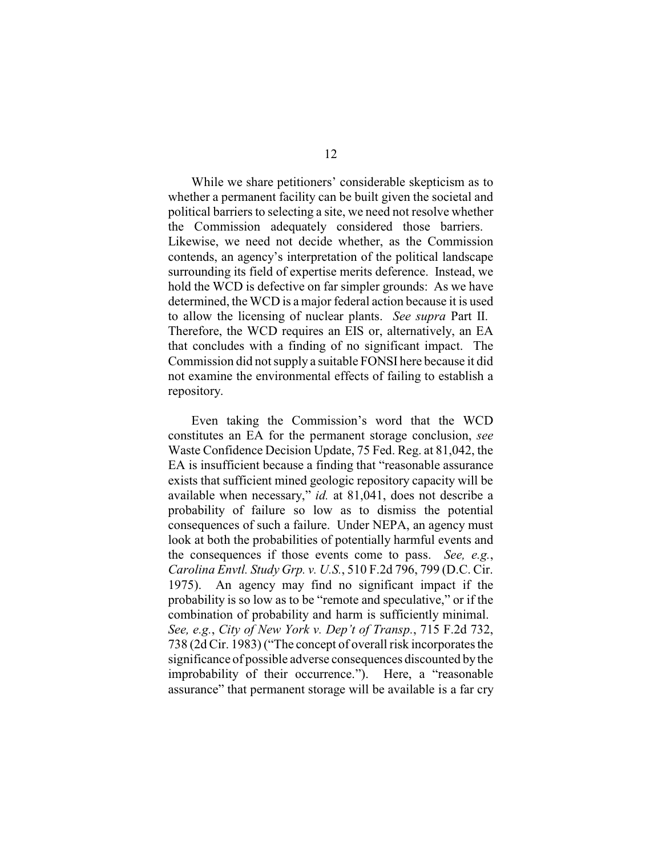While we share petitioners' considerable skepticism as to whether a permanent facility can be built given the societal and political barriers to selecting a site, we need not resolve whether the Commission adequately considered those barriers. Likewise, we need not decide whether, as the Commission contends, an agency's interpretation of the political landscape surrounding its field of expertise merits deference. Instead, we hold the WCD is defective on far simpler grounds: As we have determined, the WCD is a major federal action because it is used to allow the licensing of nuclear plants. *See supra* Part II. Therefore, the WCD requires an EIS or, alternatively, an EA that concludes with a finding of no significant impact. The Commission did not supply a suitable FONSI here because it did not examine the environmental effects of failing to establish a repository.

Even taking the Commission's word that the WCD constitutes an EA for the permanent storage conclusion, *see* Waste Confidence Decision Update, 75 Fed. Reg. at 81,042, the EA is insufficient because a finding that "reasonable assurance exists that sufficient mined geologic repository capacity will be available when necessary," *id.* at 81,041, does not describe a probability of failure so low as to dismiss the potential consequences of such a failure. Under NEPA, an agency must look at both the probabilities of potentially harmful events and the consequences if those events come to pass. *See, e.g.*, *Carolina Envtl. Study Grp. v. U.S.*, 510 F.2d 796, 799 (D.C. Cir. 1975). An agency may find no significant impact if the probability is so low as to be "remote and speculative," or if the combination of probability and harm is sufficiently minimal. *See, e.g.*, *City of New York v. Dep't of Transp.*, 715 F.2d 732, 738 (2d Cir. 1983) ("The concept of overall risk incorporates the significance of possible adverse consequences discounted by the improbability of their occurrence."). Here, a "reasonable assurance" that permanent storage will be available is a far cry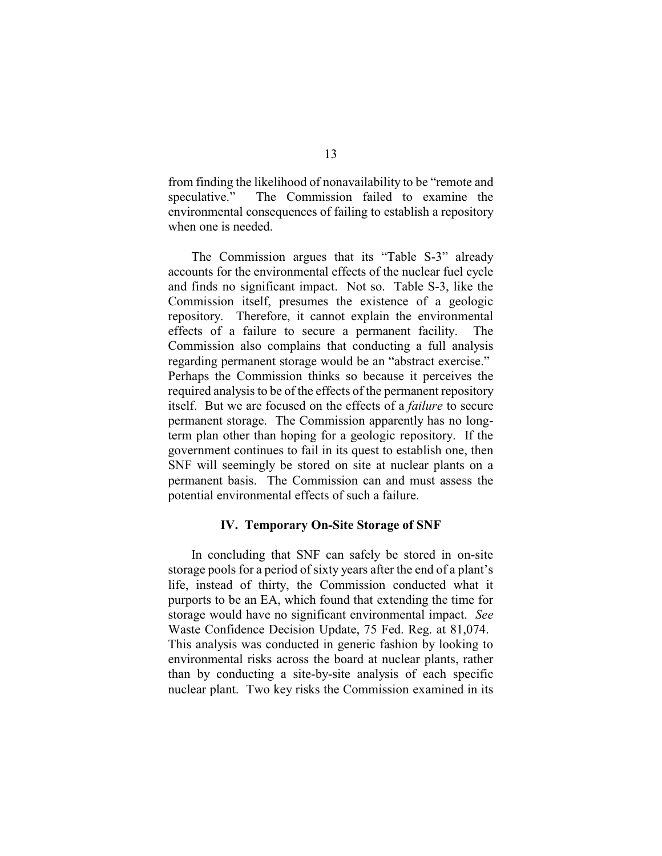from finding the likelihood of nonavailability to be "remote and speculative." The Commission failed to examine the environmental consequences of failing to establish a repository when one is needed.

The Commission argues that its "Table S-3" already accounts for the environmental effects of the nuclear fuel cycle and finds no significant impact. Not so. Table S-3, like the Commission itself, presumes the existence of a geologic repository. Therefore, it cannot explain the environmental effects of a failure to secure a permanent facility. The Commission also complains that conducting a full analysis regarding permanent storage would be an "abstract exercise." Perhaps the Commission thinks so because it perceives the required analysis to be of the effects of the permanent repository itself. But we are focused on the effects of a *failure* to secure permanent storage. The Commission apparently has no longterm plan other than hoping for a geologic repository. If the government continues to fail in its quest to establish one, then SNF will seemingly be stored on site at nuclear plants on a permanent basis. The Commission can and must assess the potential environmental effects of such a failure.

# **IV. Temporary On-Site Storage of SNF**

In concluding that SNF can safely be stored in on-site storage pools for a period of sixty years after the end of a plant's life, instead of thirty, the Commission conducted what it purports to be an EA, which found that extending the time for storage would have no significant environmental impact. *See* Waste Confidence Decision Update, 75 Fed. Reg. at 81,074. This analysis was conducted in generic fashion by looking to environmental risks across the board at nuclear plants, rather than by conducting a site-by-site analysis of each specific nuclear plant. Two key risks the Commission examined in its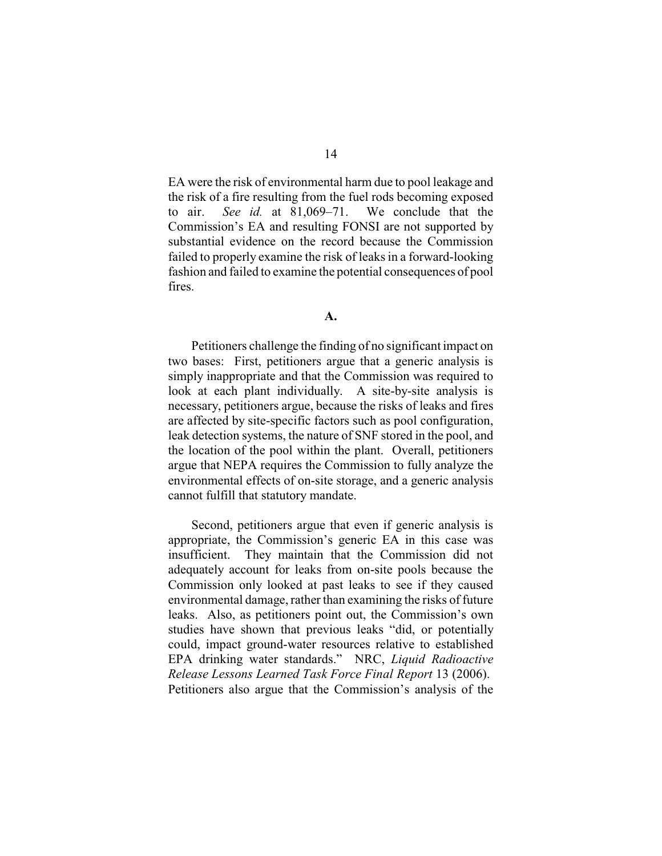EA were the risk of environmental harm due to pool leakage and the risk of a fire resulting from the fuel rods becoming exposed to air. *See id.* at 81,069–71. We conclude that the Commission's EA and resulting FONSI are not supported by substantial evidence on the record because the Commission failed to properly examine the risk of leaks in a forward-looking fashion and failed to examine the potential consequences of pool fires.

Petitioners challenge the finding of no significant impact on two bases: First, petitioners argue that a generic analysis is simply inappropriate and that the Commission was required to look at each plant individually. A site-by-site analysis is necessary, petitioners argue, because the risks of leaks and fires are affected by site-specific factors such as pool configuration, leak detection systems, the nature of SNF stored in the pool, and the location of the pool within the plant. Overall, petitioners argue that NEPA requires the Commission to fully analyze the environmental effects of on-site storage, and a generic analysis cannot fulfill that statutory mandate.

Second, petitioners argue that even if generic analysis is appropriate, the Commission's generic EA in this case was insufficient. They maintain that the Commission did not adequately account for leaks from on-site pools because the Commission only looked at past leaks to see if they caused environmental damage, rather than examining the risks of future leaks. Also, as petitioners point out, the Commission's own studies have shown that previous leaks "did, or potentially could, impact ground-water resources relative to established EPA drinking water standards." NRC, *Liquid Radioactive Release Lessons Learned Task Force Final Report* 13 (2006). Petitioners also argue that the Commission's analysis of the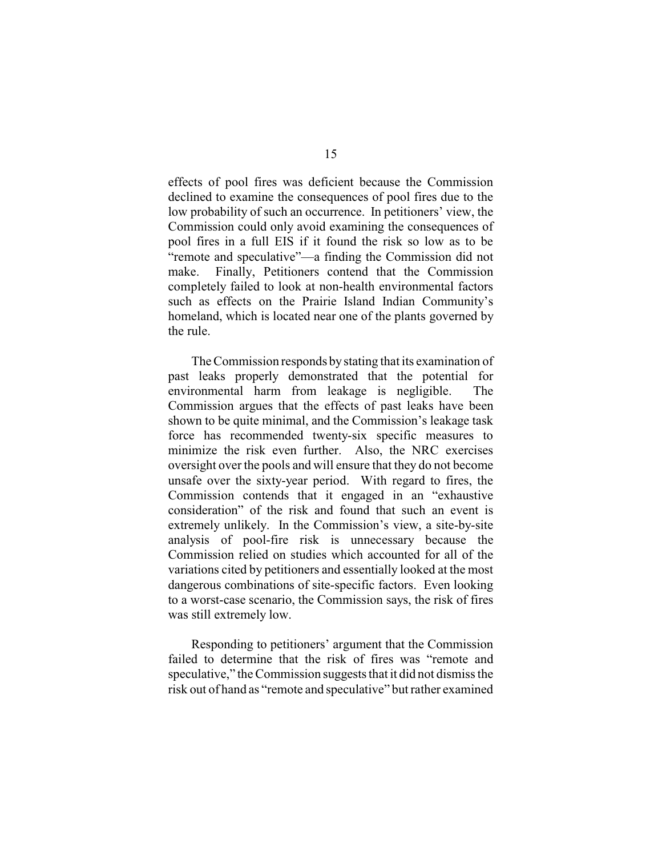effects of pool fires was deficient because the Commission declined to examine the consequences of pool fires due to the low probability of such an occurrence. In petitioners' view, the Commission could only avoid examining the consequences of pool fires in a full EIS if it found the risk so low as to be "remote and speculative"—a finding the Commission did not make. Finally, Petitioners contend that the Commission completely failed to look at non-health environmental factors such as effects on the Prairie Island Indian Community's homeland, which is located near one of the plants governed by the rule.

The Commission responds bystating that its examination of past leaks properly demonstrated that the potential for environmental harm from leakage is negligible. The Commission argues that the effects of past leaks have been shown to be quite minimal, and the Commission's leakage task force has recommended twenty-six specific measures to minimize the risk even further. Also, the NRC exercises oversight over the pools and will ensure that they do not become unsafe over the sixty-year period. With regard to fires, the Commission contends that it engaged in an "exhaustive consideration" of the risk and found that such an event is extremely unlikely. In the Commission's view, a site-by-site analysis of pool-fire risk is unnecessary because the Commission relied on studies which accounted for all of the variations cited by petitioners and essentially looked at the most dangerous combinations of site-specific factors. Even looking to a worst-case scenario, the Commission says, the risk of fires was still extremely low.

Responding to petitioners' argument that the Commission failed to determine that the risk of fires was "remote and speculative," the Commission suggests that it did not dismiss the risk out of hand as "remote and speculative" but rather examined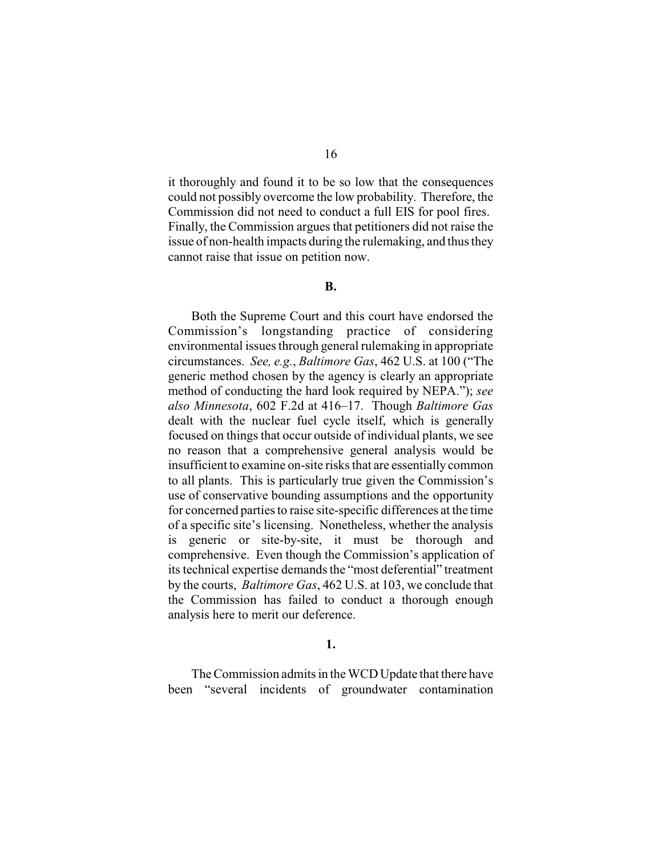it thoroughly and found it to be so low that the consequences could not possibly overcome the low probability. Therefore, the Commission did not need to conduct a full EIS for pool fires. Finally, the Commission argues that petitioners did not raise the issue of non-health impacts during the rulemaking, and thus they cannot raise that issue on petition now.

#### **B.**

Both the Supreme Court and this court have endorsed the Commission's longstanding practice of considering environmental issues through general rulemaking in appropriate circumstances. *See, e.g.*, *Baltimore Gas*, 462 U.S. at 100 ("The generic method chosen by the agency is clearly an appropriate method of conducting the hard look required by NEPA."); *see also Minnesota*, 602 F.2d at 416–17. Though *Baltimore Gas* dealt with the nuclear fuel cycle itself, which is generally focused on things that occur outside of individual plants, we see no reason that a comprehensive general analysis would be insufficient to examine on-site risks that are essentially common to all plants. This is particularly true given the Commission's use of conservative bounding assumptions and the opportunity for concerned parties to raise site-specific differences at the time of a specific site's licensing. Nonetheless, whether the analysis is generic or site-by-site, it must be thorough and comprehensive. Even though the Commission's application of its technical expertise demands the "most deferential" treatment by the courts, *Baltimore Gas*, 462 U.S. at 103, we conclude that the Commission has failed to conduct a thorough enough analysis here to merit our deference.

# **1.**

The Commission admits in the WCD Update that there have been "several incidents of groundwater contamination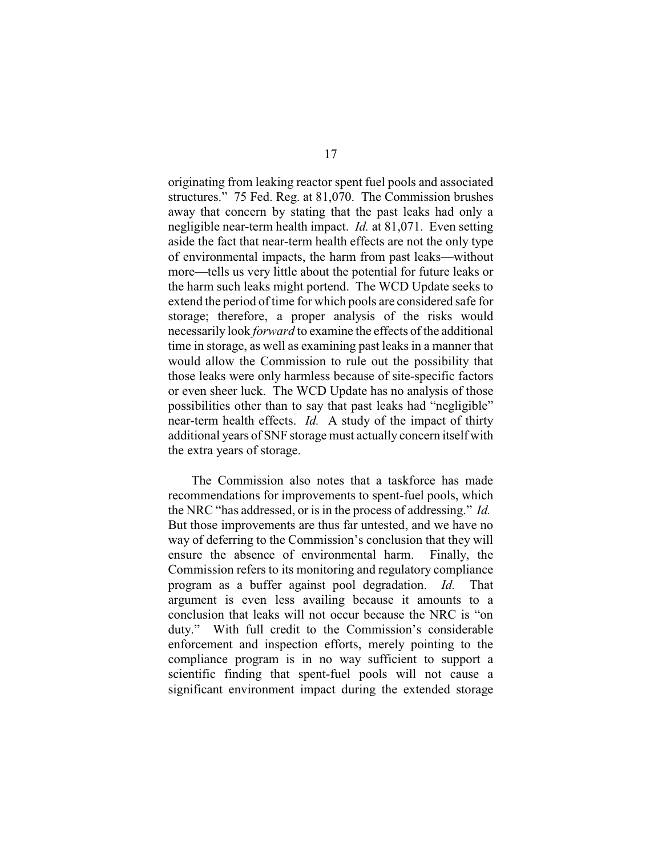originating from leaking reactor spent fuel pools and associated structures." 75 Fed. Reg. at 81,070. The Commission brushes away that concern by stating that the past leaks had only a negligible near-term health impact. *Id.* at 81,071. Even setting aside the fact that near-term health effects are not the only type of environmental impacts, the harm from past leaks—without more—tells us very little about the potential for future leaks or the harm such leaks might portend. The WCD Update seeks to extend the period of time for which pools are considered safe for storage; therefore, a proper analysis of the risks would necessarily look *forward* to examine the effects of the additional time in storage, as well as examining past leaks in a manner that would allow the Commission to rule out the possibility that those leaks were only harmless because of site-specific factors or even sheer luck. The WCD Update has no analysis of those possibilities other than to say that past leaks had "negligible" near-term health effects. *Id.* A study of the impact of thirty additional years of SNF storage must actually concern itself with the extra years of storage.

The Commission also notes that a taskforce has made recommendations for improvements to spent-fuel pools, which the NRC "has addressed, or is in the process of addressing." *Id.*  But those improvements are thus far untested, and we have no way of deferring to the Commission's conclusion that they will ensure the absence of environmental harm. Finally, the Commission refers to its monitoring and regulatory compliance program as a buffer against pool degradation. *Id.* That argument is even less availing because it amounts to a conclusion that leaks will not occur because the NRC is "on duty." With full credit to the Commission's considerable enforcement and inspection efforts, merely pointing to the compliance program is in no way sufficient to support a scientific finding that spent-fuel pools will not cause a significant environment impact during the extended storage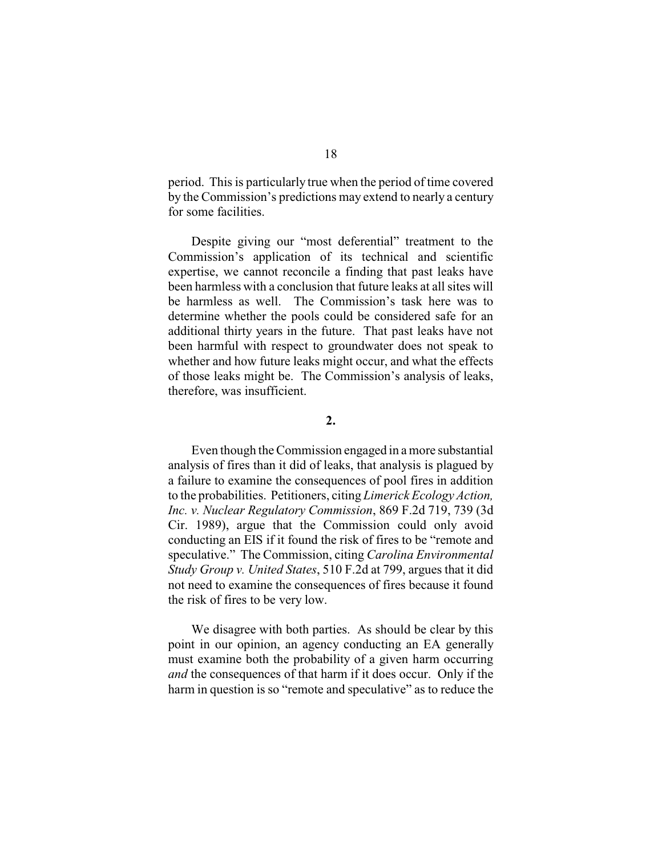period. This is particularly true when the period of time covered by the Commission's predictions may extend to nearly a century for some facilities.

Despite giving our "most deferential" treatment to the Commission's application of its technical and scientific expertise, we cannot reconcile a finding that past leaks have been harmless with a conclusion that future leaks at all sites will be harmless as well. The Commission's task here was to determine whether the pools could be considered safe for an additional thirty years in the future. That past leaks have not been harmful with respect to groundwater does not speak to whether and how future leaks might occur, and what the effects of those leaks might be. The Commission's analysis of leaks, therefore, was insufficient.

## **2.**

Even though the Commission engaged in a more substantial analysis of fires than it did of leaks, that analysis is plagued by a failure to examine the consequences of pool fires in addition to the probabilities. Petitioners, citing *Limerick Ecology Action, Inc. v. Nuclear Regulatory Commission*, 869 F.2d 719, 739 (3d Cir. 1989), argue that the Commission could only avoid conducting an EIS if it found the risk of fires to be "remote and speculative." The Commission, citing *Carolina Environmental Study Group v. United States*, 510 F.2d at 799, argues that it did not need to examine the consequences of fires because it found the risk of fires to be very low.

We disagree with both parties. As should be clear by this point in our opinion, an agency conducting an EA generally must examine both the probability of a given harm occurring *and* the consequences of that harm if it does occur. Only if the harm in question is so "remote and speculative" as to reduce the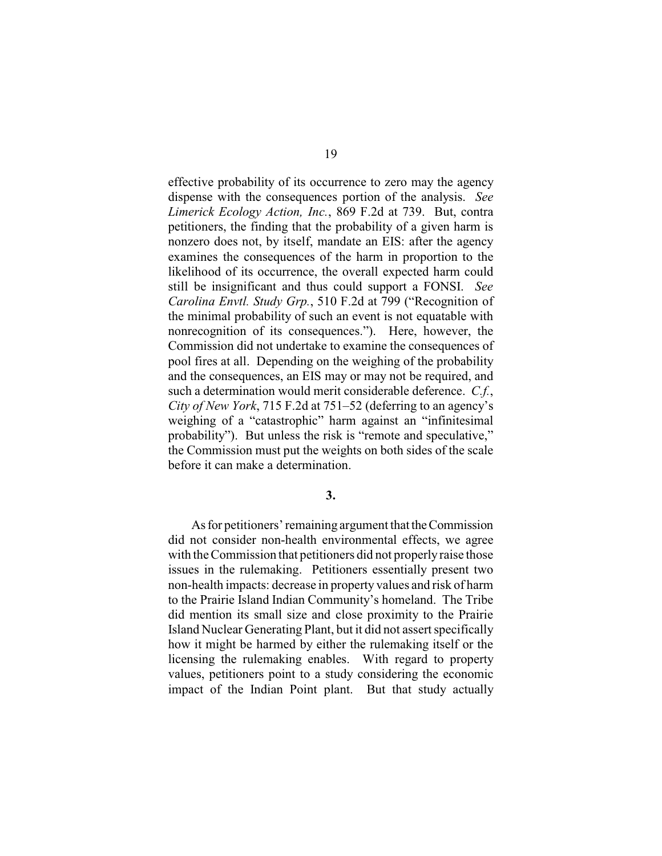effective probability of its occurrence to zero may the agency dispense with the consequences portion of the analysis. *See Limerick Ecology Action, Inc.*, 869 F.2d at 739. But, contra petitioners, the finding that the probability of a given harm is nonzero does not, by itself, mandate an EIS: after the agency examines the consequences of the harm in proportion to the likelihood of its occurrence, the overall expected harm could still be insignificant and thus could support a FONSI. *See Carolina Envtl. Study Grp.*, 510 F.2d at 799 ("Recognition of the minimal probability of such an event is not equatable with nonrecognition of its consequences."). Here, however, the Commission did not undertake to examine the consequences of pool fires at all. Depending on the weighing of the probability and the consequences, an EIS may or may not be required, and such a determination would merit considerable deference. *C.f.*, *City of New York*, 715 F.2d at 751–52 (deferring to an agency's weighing of a "catastrophic" harm against an "infinitesimal probability"). But unless the risk is "remote and speculative," the Commission must put the weights on both sides of the scale before it can make a determination.

**3.**

As for petitioners' remaining argument that the Commission did not consider non-health environmental effects, we agree with the Commission that petitioners did not properly raise those issues in the rulemaking. Petitioners essentially present two non-health impacts: decrease in property values and risk of harm to the Prairie Island Indian Community's homeland. The Tribe did mention its small size and close proximity to the Prairie Island Nuclear Generating Plant, but it did not assert specifically how it might be harmed by either the rulemaking itself or the licensing the rulemaking enables. With regard to property values, petitioners point to a study considering the economic impact of the Indian Point plant. But that study actually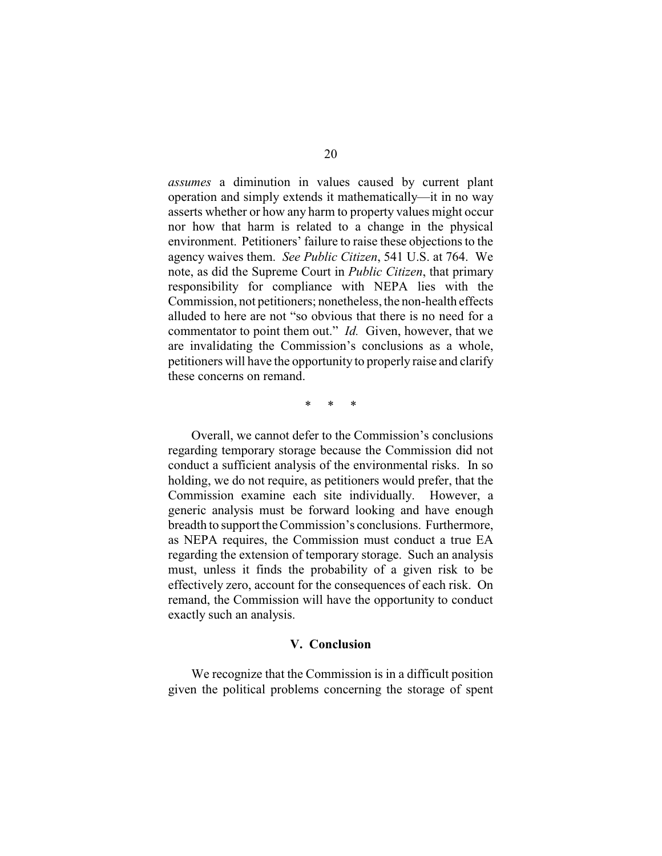*assumes* a diminution in values caused by current plant operation and simply extends it mathematically—it in no way asserts whether or how any harm to property values might occur nor how that harm is related to a change in the physical environment. Petitioners' failure to raise these objections to the agency waives them. *See Public Citizen*, 541 U.S. at 764. We note, as did the Supreme Court in *Public Citizen*, that primary responsibility for compliance with NEPA lies with the Commission, not petitioners; nonetheless, the non-health effects alluded to here are not "so obvious that there is no need for a commentator to point them out." *Id.* Given, however, that we are invalidating the Commission's conclusions as a whole, petitioners will have the opportunity to properly raise and clarify these concerns on remand.

\* \* \*

Overall, we cannot defer to the Commission's conclusions regarding temporary storage because the Commission did not conduct a sufficient analysis of the environmental risks. In so holding, we do not require, as petitioners would prefer, that the Commission examine each site individually. However, a generic analysis must be forward looking and have enough breadth to support the Commission's conclusions. Furthermore, as NEPA requires, the Commission must conduct a true EA regarding the extension of temporary storage. Such an analysis must, unless it finds the probability of a given risk to be effectively zero, account for the consequences of each risk. On remand, the Commission will have the opportunity to conduct exactly such an analysis.

#### **V. Conclusion**

We recognize that the Commission is in a difficult position given the political problems concerning the storage of spent